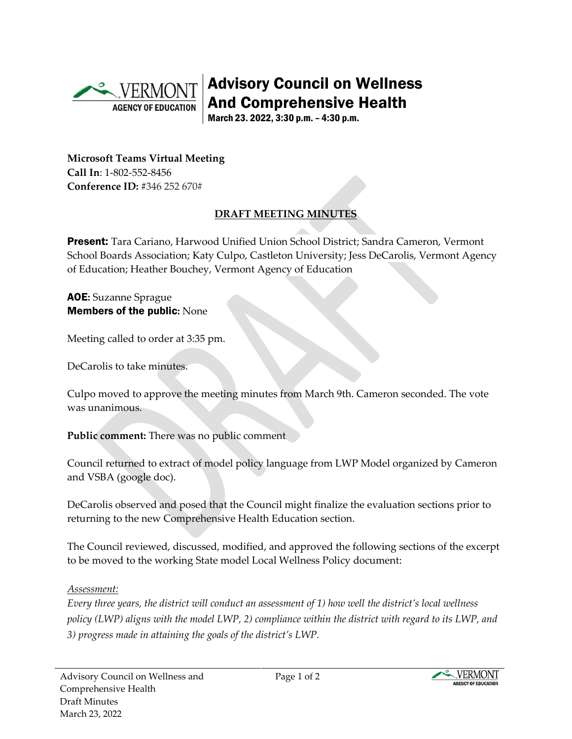

Advisory Council on Wellness And Comprehensive Health

March 23. 2022, 3:30 p.m. – 4:30 p.m.

**Microsoft Teams Virtual Meeting Call In**: 1-802-552-8456 **Conference ID:** #346 252 670#

# **DRAFT MEETING MINUTES**

Present: Tara Cariano, Harwood Unified Union School District; Sandra Cameron, Vermont School Boards Association; Katy Culpo, Castleton University; Jess DeCarolis, Vermont Agency of Education; Heather Bouchey, Vermont Agency of Education

#### AOE**:** Suzanne Sprague Members of the public**:** None

Meeting called to order at 3:35 pm.

DeCarolis to take minutes.

Culpo moved to approve the meeting minutes from March 9th. Cameron seconded. The vote was unanimous.

**Public comment:** There was no public comment

Council returned to extract of model policy language from LWP Model organized by Cameron and VSBA (google doc).

DeCarolis observed and posed that the Council might finalize the evaluation sections prior to returning to the new Comprehensive Health Education section.

The Council reviewed, discussed, modified, and approved the following sections of the excerpt to be moved to the working State model Local Wellness Policy document:

### *Assessment:*

*Every three years, the district will conduct an assessment of 1) how well the district's local wellness policy (LWP) aligns with the model LWP, 2) compliance within the district with regard to its LWP, and 3) progress made in attaining the goals of the district's LWP.*

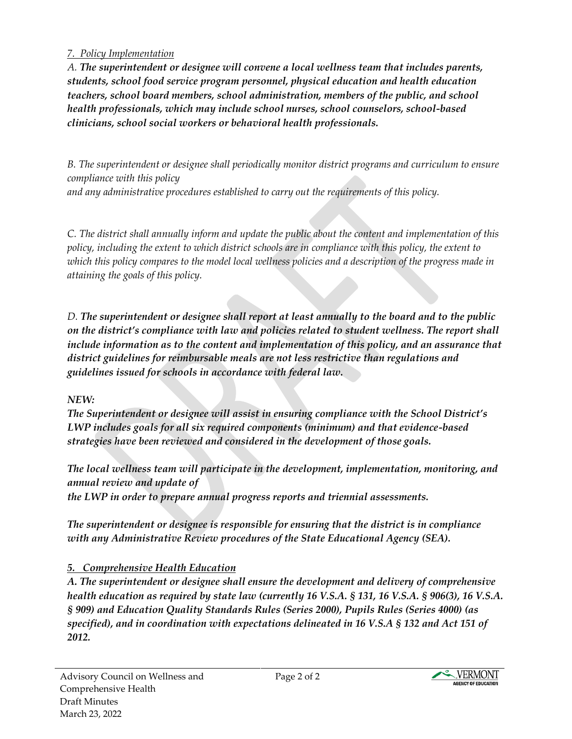### *7. Policy Implementation*

*A. The superintendent or designee will convene a local wellness team that includes parents, students, school food service program personnel, physical education and health education teachers, school board members, school administration, members of the public, and school health professionals, which may include school nurses, school counselors, school-based clinicians, school social workers or behavioral health professionals.*

*B. The superintendent or designee shall periodically monitor district programs and curriculum to ensure compliance with this policy*

*and any administrative procedures established to carry out the requirements of this policy.*

*C. The district shall annually inform and update the public about the content and implementation of this policy, including the extent to which district schools are in compliance with this policy, the extent to which this policy compares to the model local wellness policies and a description of the progress made in attaining the goals of this policy.*

*D. The superintendent or designee shall report at least annually to the board and to the public on the district's compliance with law and policies related to student wellness. The report shall include information as to the content and implementation of this policy, and an assurance that district guidelines for reimbursable meals are not less restrictive than regulations and guidelines issued for schools in accordance with federal law.*

### *NEW:*

*The Superintendent or designee will assist in ensuring compliance with the School District's LWP includes goals for all six required components (minimum) and that evidence-based strategies have been reviewed and considered in the development of those goals.*

*The local wellness team will participate in the development, implementation, monitoring, and annual review and update of*

*the LWP in order to prepare annual progress reports and triennial assessments.*

*The superintendent or designee is responsible for ensuring that the district is in compliance with any Administrative Review procedures of the State Educational Agency (SEA).*

### *5. Comprehensive Health Education*

*A. The superintendent or designee shall ensure the development and delivery of comprehensive health education as required by state law (currently 16 V.S.A. § 131, 16 V.S.A. § 906(3), 16 V.S.A. § 909) and Education Quality Standards Rules (Series 2000), Pupils Rules (Series 4000) (as specified), and in coordination with expectations delineated in 16 V.S.A § 132 and Act 151 of 2012.*